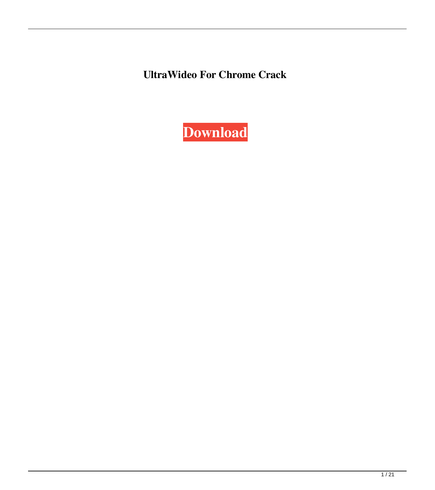**UltraWideo For Chrome Crack**

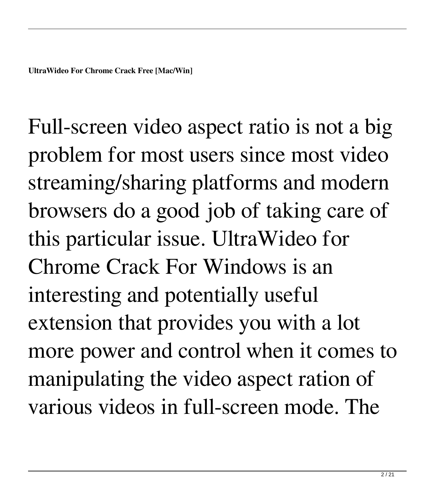Full-screen video aspect ratio is not a big problem for most users since most video streaming/sharing platforms and modern browsers do a good job of taking care of this particular issue. UltraWideo for Chrome Crack For Windows is an interesting and potentially useful extension that provides you with a lot more power and control when it comes to manipulating the video aspect ration of various videos in full-screen mode. The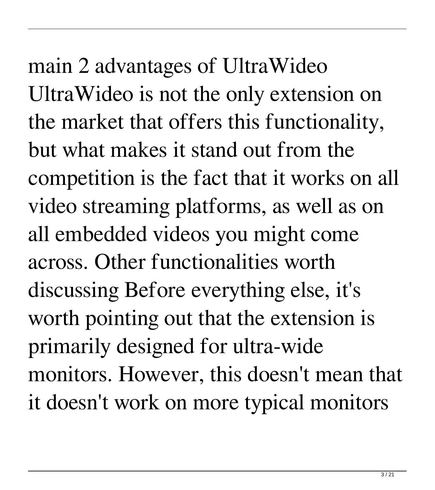main 2 advantages of UltraWideo UltraWideo is not the only extension on the market that offers this functionality, but what makes it stand out from the competition is the fact that it works on all video streaming platforms, as well as on all embedded videos you might come across. Other functionalities worth discussing Before everything else, it's worth pointing out that the extension is primarily designed for ultra-wide monitors. However, this doesn't mean that it doesn't work on more typical monitors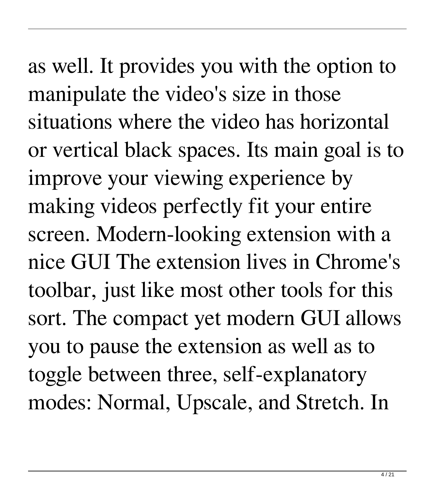as well. It provides you with the option to manipulate the video's size in those situations where the video has horizontal or vertical black spaces. Its main goal is to improve your viewing experience by making videos perfectly fit your entire screen. Modern-looking extension with a nice GUI The extension lives in Chrome's toolbar, just like most other tools for this sort. The compact yet modern GUI allows you to pause the extension as well as to toggle between three, self-explanatory modes: Normal, Upscale, and Stretch. In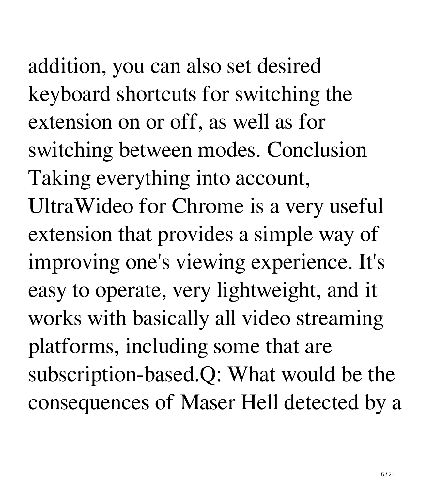addition, you can also set desired keyboard shortcuts for switching the extension on or off, as well as for switching between modes. Conclusion Taking everything into account, UltraWideo for Chrome is a very useful extension that provides a simple way of improving one's viewing experience. It's easy to operate, very lightweight, and it works with basically all video streaming platforms, including some that are subscription-based.Q: What would be the consequences of Maser Hell detected by a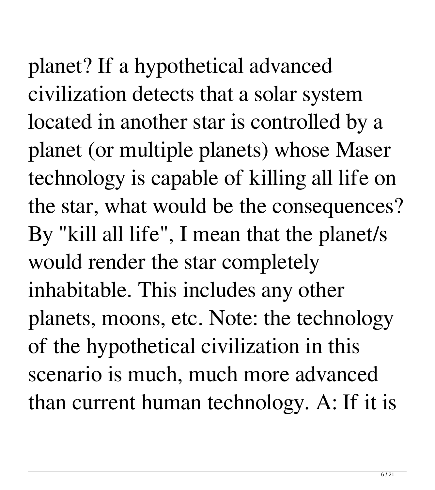planet? If a hypothetical advanced civilization detects that a solar system located in another star is controlled by a planet (or multiple planets) whose Maser technology is capable of killing all life on the star, what would be the consequences? By "kill all life", I mean that the planet/s would render the star completely inhabitable. This includes any other planets, moons, etc. Note: the technology of the hypothetical civilization in this scenario is much, much more advanced than current human technology. A: If it is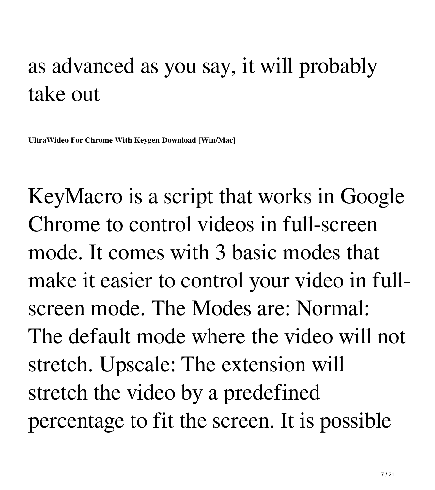## as advanced as you say, it will probably take out

**UltraWideo For Chrome With Keygen Download [Win/Mac]**

KeyMacro is a script that works in Google Chrome to control videos in full-screen mode. It comes with 3 basic modes that make it easier to control your video in fullscreen mode. The Modes are: Normal: The default mode where the video will not stretch. Upscale: The extension will stretch the video by a predefined percentage to fit the screen. It is possible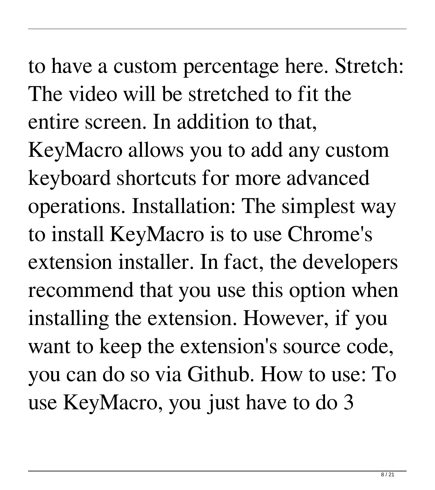to have a custom percentage here. Stretch: The video will be stretched to fit the entire screen. In addition to that, KeyMacro allows you to add any custom keyboard shortcuts for more advanced operations. Installation: The simplest way to install KeyMacro is to use Chrome's extension installer. In fact, the developers recommend that you use this option when installing the extension. However, if you want to keep the extension's source code, you can do so via Github. How to use: To use KeyMacro, you just have to do 3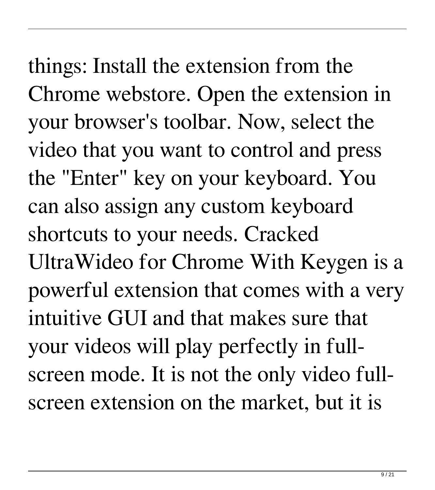things: Install the extension from the Chrome webstore. Open the extension in your browser's toolbar. Now, select the video that you want to control and press the "Enter" key on your keyboard. You can also assign any custom keyboard shortcuts to your needs. Cracked UltraWideo for Chrome With Keygen is a powerful extension that comes with a very intuitive GUI and that makes sure that your videos will play perfectly in fullscreen mode. It is not the only video fullscreen extension on the market, but it is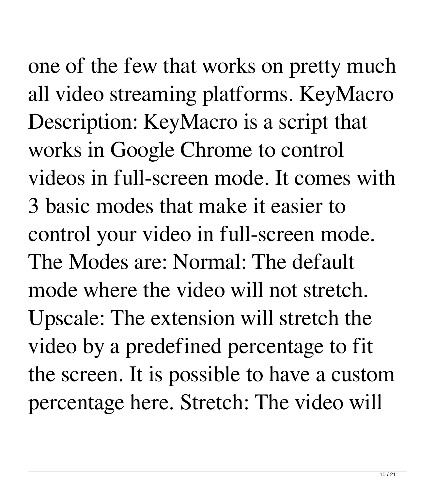one of the few that works on pretty much all video streaming platforms. KeyMacro Description: KeyMacro is a script that works in Google Chrome to control videos in full-screen mode. It comes with 3 basic modes that make it easier to control your video in full-screen mode. The Modes are: Normal: The default mode where the video will not stretch. Upscale: The extension will stretch the video by a predefined percentage to fit the screen. It is possible to have a custom percentage here. Stretch: The video will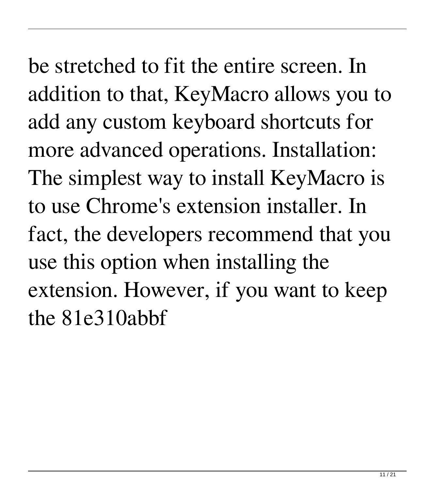be stretched to fit the entire screen. In addition to that, KeyMacro allows you to add any custom keyboard shortcuts for more advanced operations. Installation: The simplest way to install KeyMacro is to use Chrome's extension installer. In fact, the developers recommend that you use this option when installing the extension. However, if you want to keep the 81e310abbf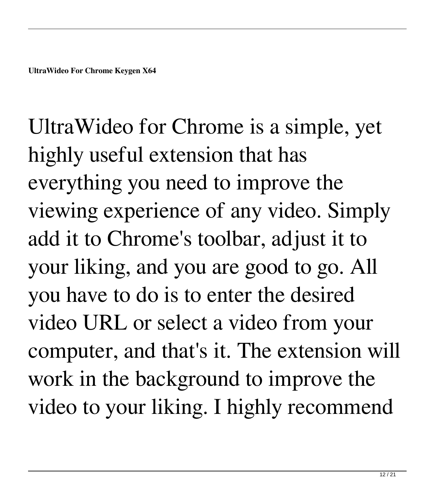UltraWideo for Chrome is a simple, yet highly useful extension that has everything you need to improve the viewing experience of any video. Simply add it to Chrome's toolbar, adjust it to your liking, and you are good to go. All you have to do is to enter the desired video URL or select a video from your computer, and that's it. The extension will work in the background to improve the video to your liking. I highly recommend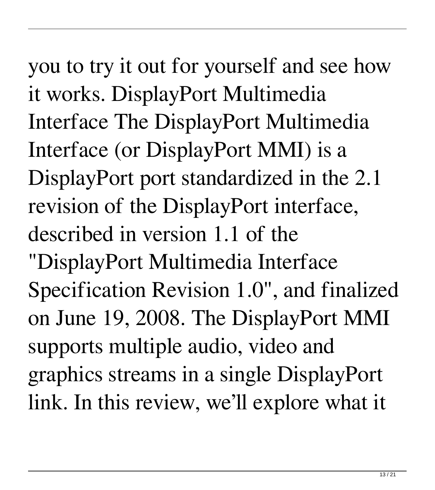you to try it out for yourself and see how it works. DisplayPort Multimedia Interface The DisplayPort Multimedia Interface (or DisplayPort MMI) is a DisplayPort port standardized in the 2.1 revision of the DisplayPort interface, described in version 1.1 of the "DisplayPort Multimedia Interface Specification Revision 1.0", and finalized on June 19, 2008. The DisplayPort MMI supports multiple audio, video and graphics streams in a single DisplayPort link. In this review, we'll explore what it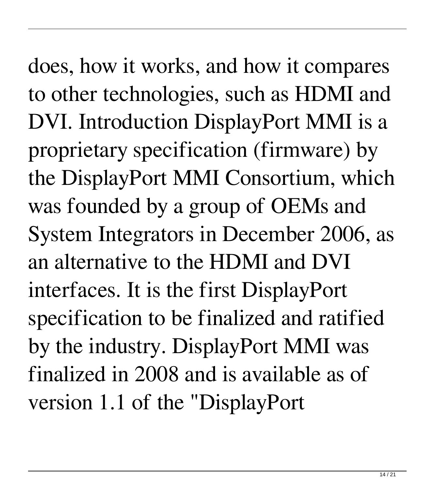does, how it works, and how it compares to other technologies, such as HDMI and DVI. Introduction DisplayPort MMI is a proprietary specification (firmware) by the DisplayPort MMI Consortium, which was founded by a group of OEMs and System Integrators in December 2006, as an alternative to the HDMI and DVI interfaces. It is the first DisplayPort specification to be finalized and ratified by the industry. DisplayPort MMI was finalized in 2008 and is available as of version 1.1 of the "DisplayPort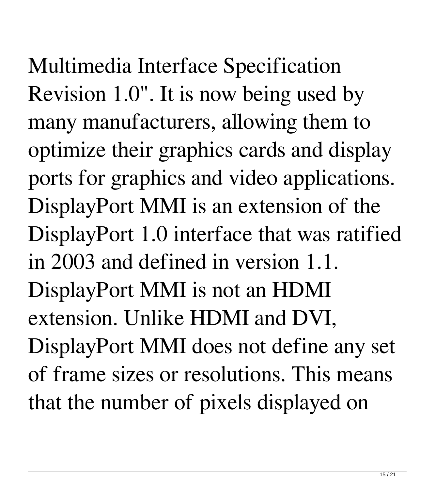Multimedia Interface Specification Revision 1.0". It is now being used by many manufacturers, allowing them to optimize their graphics cards and display ports for graphics and video applications. DisplayPort MMI is an extension of the DisplayPort 1.0 interface that was ratified in 2003 and defined in version 1.1. DisplayPort MMI is not an HDMI extension. Unlike HDMI and DVI, DisplayPort MMI does not define any set of frame sizes or resolutions. This means that the number of pixels displayed on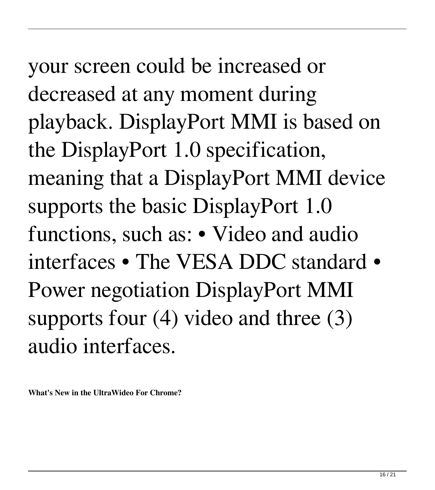your screen could be increased or decreased at any moment during playback. DisplayPort MMI is based on the DisplayPort 1.0 specification, meaning that a DisplayPort MMI device supports the basic DisplayPort 1.0 functions, such as: • Video and audio interfaces • The VESA DDC standard • Power negotiation DisplayPort MMI supports four (4) video and three (3) audio interfaces.

**What's New in the UltraWideo For Chrome?**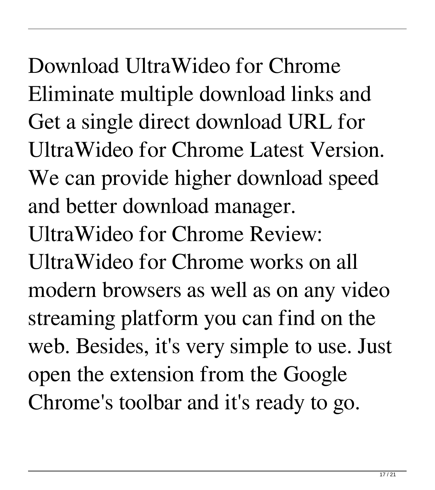Download UltraWideo for Chrome Eliminate multiple download links and Get a single direct download URL for UltraWideo for Chrome Latest Version. We can provide higher download speed and better download manager. UltraWideo for Chrome Review: UltraWideo for Chrome works on all modern browsers as well as on any video streaming platform you can find on the web. Besides, it's very simple to use. Just open the extension from the Google Chrome's toolbar and it's ready to go.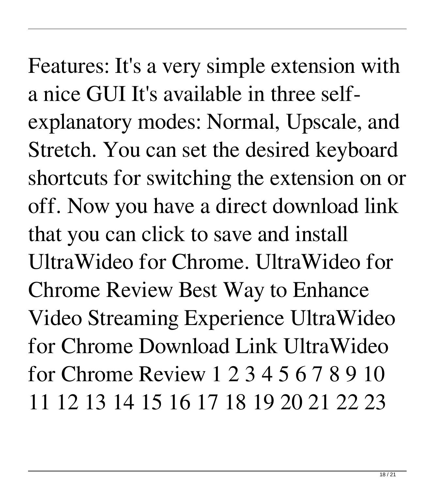Features: It's a very simple extension with a nice GUI It's available in three selfexplanatory modes: Normal, Upscale, and Stretch. You can set the desired keyboard shortcuts for switching the extension on or off. Now you have a direct download link that you can click to save and install UltraWideo for Chrome. UltraWideo for Chrome Review Best Way to Enhance Video Streaming Experience UltraWideo for Chrome Download Link UltraWideo for Chrome Review 1 2 3 4 5 6 7 8 9 10 11 12 13 14 15 16 17 18 19 20 21 22 23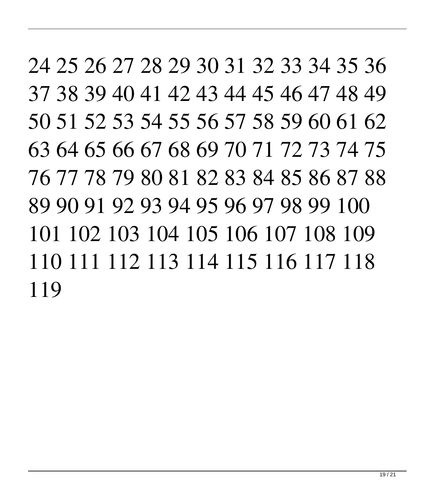24 25 26 27 28 29 30 31 32 33 34 35 36 37 38 39 40 41 42 43 44 45 46 47 48 49 50 51 52 53 54 55 56 57 58 59 60 61 62 63 64 65 66 67 68 69 70 71 72 73 74 75 76 77 78 79 80 81 82 83 84 85 86 87 88 89 90 91 92 93 94 95 96 97 98 99 100 101 102 103 104 105 106 107 108 109 110 111 112 113 114 115 116 117 118 119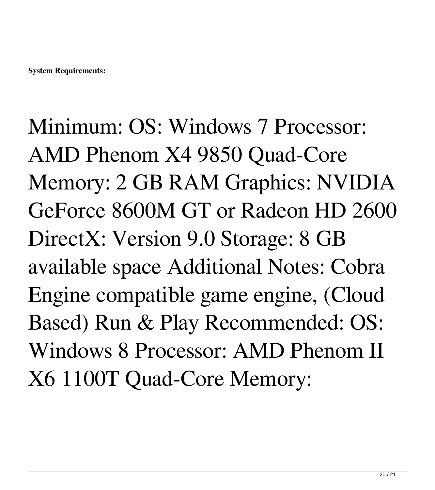Minimum: OS: Windows 7 Processor: AMD Phenom X4 9850 Quad-Core Memory: 2 GB RAM Graphics: NVIDIA GeForce 8600M GT or Radeon HD 2600 DirectX: Version 9.0 Storage: 8 GB available space Additional Notes: Cobra Engine compatible game engine, (Cloud Based) Run & Play Recommended: OS: Windows 8 Processor: AMD Phenom II X6 1100T Quad-Core Memory: